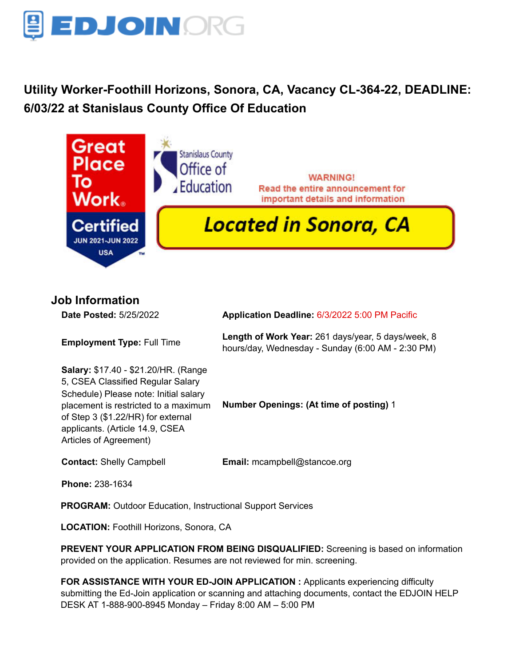

# **Utility Worker-Foothill Horizons, Sonora, CA, Vacancy CL-364-22, DEADLINE: 6/03/22 at Stanislaus County Office Of Education**



**Job Information**

**Date Posted:** 5/25/2022 **Application Deadline:** 6/3/2022 5:00 PM Pacific **Employment Type:** Full Time **Length of Work Year:** 261 days/year, 5 days/week, 8 hours/day, Wednesday - Sunday (6:00 AM - 2:30 PM) **Salary:** \$17.40 - \$21.20/HR. (Range 5, CSEA Classified Regular Salary Schedule) Please note: Initial salary placement is restricted to a maximum of Step 3 (\$1.22/HR) for external applicants. (Article 14.9, CSEA Articles of Agreement) **Number Openings: (At time of posting)** 1 **Contact:** Shelly Campbell **Email:** [mcampbell@stancoe.org](mailto:mcampbell@stancoe.org) **Phone:** 238-1634 **PROGRAM:** Outdoor Education, Instructional Support Services **LOCATION:** Foothill Horizons, Sonora, CA

**PREVENT YOUR APPLICATION FROM BEING DISQUALIFIED:** Screening is based on information provided on the application. Resumes are not reviewed for min. screening.

**FOR ASSISTANCE WITH YOUR ED-JOIN APPLICATION :** Applicants experiencing difficulty submitting the Ed-Join application or scanning and attaching documents, contact the EDJOIN HELP DESK AT 1-888-900-8945 Monday – Friday 8:00 AM – 5:00 PM